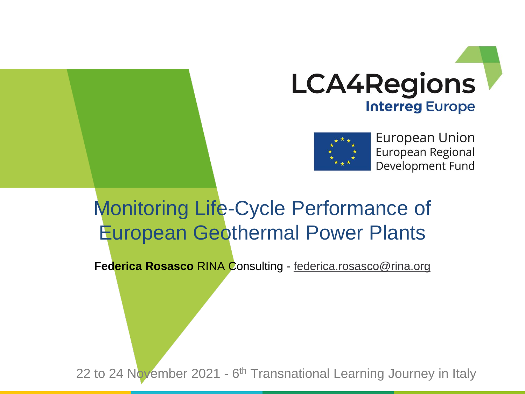



European Union European Regional Development Fund

# Monitoring Life-Cycle Performance of European Geothermal Power Plants

**Federica Rosasco** RINA Consulting - [federica.rosasco@rina.org](mailto:federica.rosasco@rina.org)

22 to 24 November 2021 - 6<sup>th</sup> Transnational Learning Journey in Italy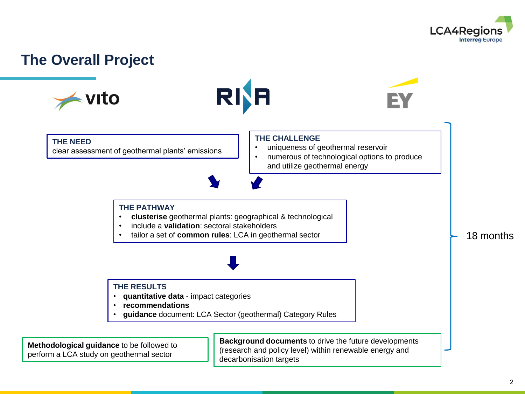

#### **The Overall Project**

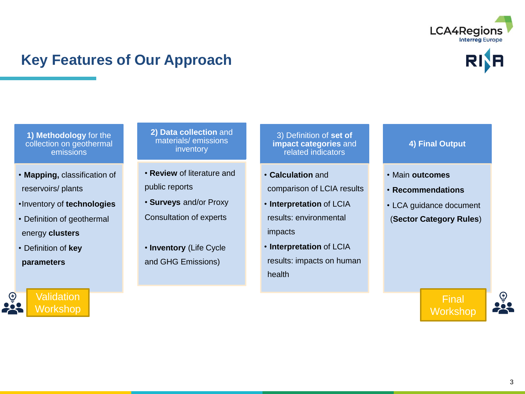

### **Key Features of Our Approach**

**1) Methodology** for the collection on geothermal emissions

- **Mapping,** classification of reservoirs/ plants
- •Inventory of **technologies**
- Definition of geothermal energy **clusters**
- Definition of **key parameters**

**Validation** Workshop **2) Data collection** and materials/ emissions inventory

- **Review** of literature and public reports
- **Surveys** and/or Proxy Consultation of experts
- **Inventory** (Life Cycle and GHG Emissions)

3) Definition of **set of impact categories** and related indicators

- **Calculation** and comparison of LCIA results
- **Interpretation** of LCIA results: environmental impacts
- **Interpretation** of LCIA results: impacts on human health
- **4) Final Output**
- Main **outcomes**
- **Recommendations**
- LCA guidance document (**Sector Category Rules**)

Final **Workshop**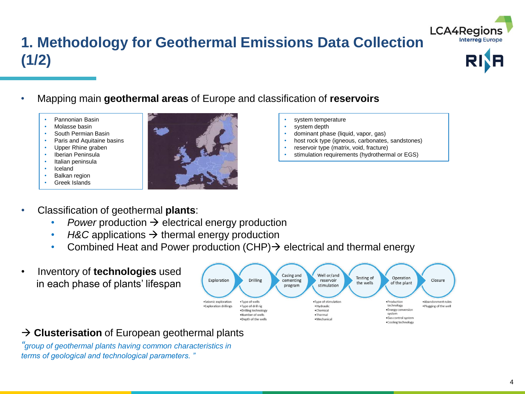## **1. Methodology for Geothermal Emissions Data Collection (1/2)**





- Mapping main **geothermal areas** of Europe and classification of **reservoirs**
	- Pannonian Basin
	- Molasse basin
	- South Permian Basin
	- Paris and Aquitaine basins
	- Upper Rhine graben • Iberian Peninsula
	- Italian peninsula
	- Iceland
	- **Balkan region**
	- Greek Islands



- system temperature
- system depth
- dominant phase (liquid, vapor, gas)
- host rock type (igneous, carbonates, sandstones)
- reservoir type (matrix, void, fracture)
- stimulation requirements (hydrothermal or EGS)

- Classification of geothermal **plants**:
	- *Power* production  $\rightarrow$  electrical energy production
	- *H&C* applications → thermal energy production
	- Combined Heat and Power production (CHP)  $\rightarrow$  electrical and thermal energy
- Inventory of **technologies** used in each phase of plants' lifespan



#### → **Clusterisation** of European geothermal plants

*"group of geothermal plants having common characteristics in terms of geological and technological parameters. "*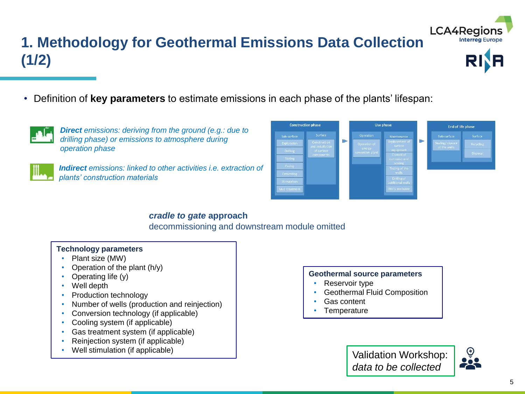### **1. Methodology for Geothermal Emissions Data Collection (1/2)**



• Definition of **key parameters** to estimate emissions in each phase of the plants' lifespan:



*Direct emissions: deriving from the ground (e.g.: due to drilling phase) or emissions to atmosphere during operation phase*



*Indirect emissions: linked to other activities i.e. extraction of plants' construction materials*



#### *cradle to gate* **approach**

decommissioning and downstream module omitted

#### **Technology parameters**

- Plant size (MW)
- Operation of the plant  $(h/y)$
- Operating life (y)
- Well depth
- Production technology
- Number of wells (production and reinjection)
- Conversion technology (if applicable)
- Cooling system (if applicable)
- Gas treatment system (if applicable)
- Reinjection system (if applicable)
- Well stimulation (if applicable)

#### **Geothermal source parameters**

- Reservoir type
- Geothermal Fluid Composition
- Gas content
- **Temperature**



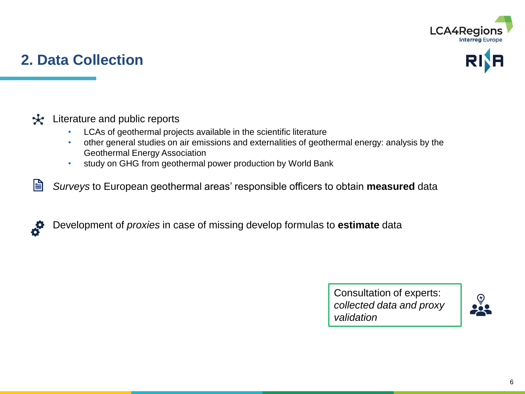

### **2. Data Collection**





- LCAs of geothermal projects available in the scientific literature
- other general studies on air emissions and externalities of geothermal energy: analysis by the Geothermal Energy Association
- study on GHG from geothermal power production by World Bank
- 訚 *Surveys* to European geothermal areas' responsible officers to obtain **measured** data
- $\bm{s}$ Development of *proxies* in case of missing develop formulas to **estimate** data

Consultation of experts: *collected data and proxy validation*

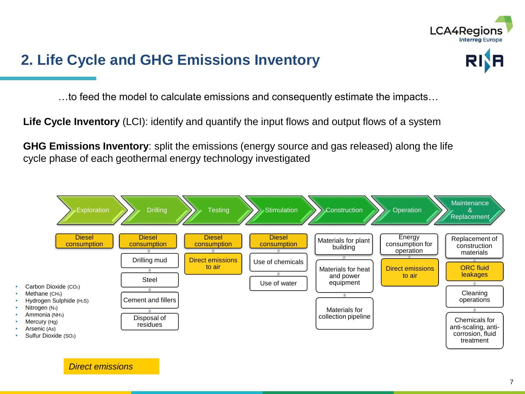

### **2. Life Cycle and GHG Emissions Inventory**



…to feed the model to calculate emissions and consequently estimate the impacts…

**Life Cycle Inventory** (LCI): identify and quantify the input flows and output flows of a system

**GHG Emissions Inventory**: split the emissions (energy source and gas released) along the life cycle phase of each geothermal energy technology investigated



*Direct emissions*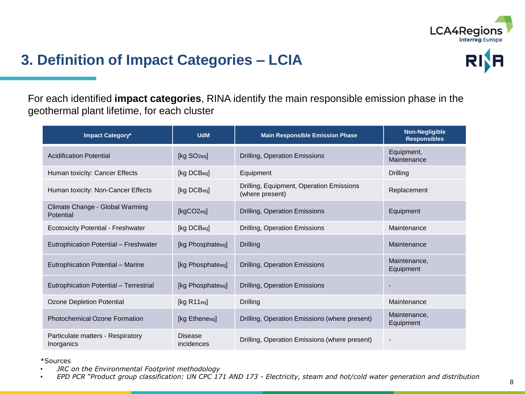

### **3. Definition of Impact Categories – LCIA**



For each identified **impact categories**, RINA identify the main responsible emission phase in the geothermal plant lifetime, for each cluster

| <b>Impact Category*</b>                         | <b>UdM</b>                   | <b>Main Responsible Emission Phase</b>                      | <b>Non-Negligible</b><br><b>Responsibles</b> |
|-------------------------------------------------|------------------------------|-------------------------------------------------------------|----------------------------------------------|
| <b>Acidification Potential</b>                  | [kg SO <sub>2eq]</sub>       | Drilling, Operation Emissions                               | Equipment,<br>Maintenance                    |
| Human toxicity: Cancer Effects                  | [kg DCBeq]                   | Equipment                                                   | Drilling                                     |
| Human toxicity: Non-Cancer Effects              | [kg DCBeq]                   | Drilling, Equipment, Operation Emissions<br>(where present) | Replacement                                  |
| Climate Change - Global Warming<br>Potential    | [kgCO2eq]                    | Drilling, Operation Emissions                               | Equipment                                    |
| <b>Ecotoxicity Potential - Freshwater</b>       | [kg DCBeq]                   | Drilling, Operation Emissions                               | Maintenance                                  |
| Eutrophication Potential - Freshwater           | [kg Phosphateeq]             | <b>Drilling</b>                                             | Maintenance                                  |
| Eutrophication Potential - Marine               | [kg Phosphateeq]             | Drilling, Operation Emissions                               | Maintenance,<br>Equipment                    |
| Eutrophication Potential - Terrestrial          | [kg Phosphateeq]             | Drilling, Operation Emissions                               |                                              |
| <b>Ozone Depletion Potential</b>                | [kg R11eq]                   | Drilling                                                    | Maintenance                                  |
| <b>Photochemical Ozone Formation</b>            | [kg Etheneeq]                | Drilling, Operation Emissions (where present)               | Maintenance,<br>Equipment                    |
| Particulate matters - Respiratory<br>Inorganics | <b>Disease</b><br>incidences | Drilling, Operation Emissions (where present)               |                                              |

\*Sources

• *JRC on the Environmental Footprint methodology*

• *EPD PCR "Product group classification: UN CPC 171 AND 173 - Electricity, steam and hot/cold water generation and distribution*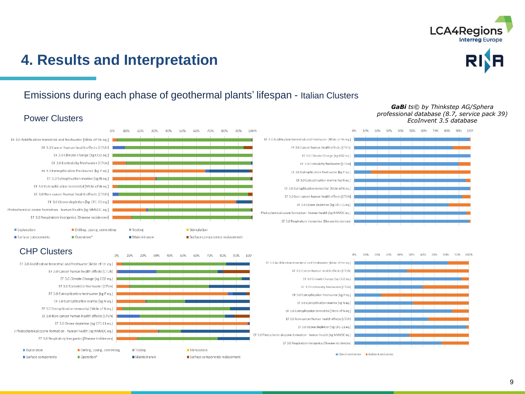

### **4. Results and Interpretation**



#### Emissions during each phase of geothermal plants' lifespan - Italian Clusters

#### Power Clusters



#### *GaBi ts© by Thinkstep AG/Sphera professional database (8.7, service pack 39) EcoInvent 3.5 database*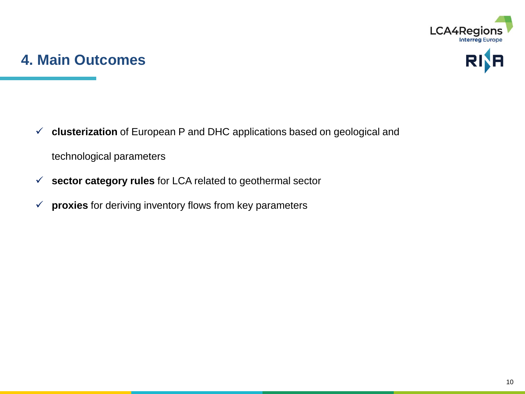

#### **4. Main Outcomes**



- ✓ **clusterization** of European P and DHC applications based on geological and technological parameters
- ✓ **sector category rules** for LCA related to geothermal sector
- ✓ **proxies** for deriving inventory flows from key parameters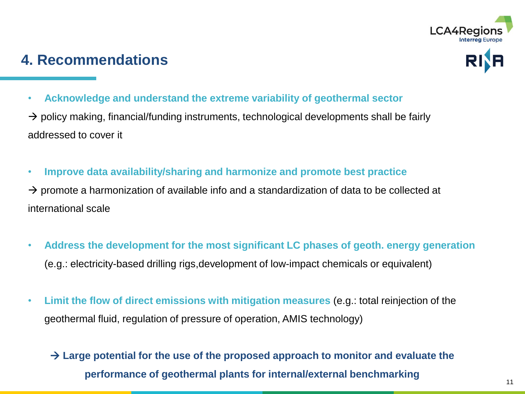

### **4. Recommendations**

• **Acknowledge and understand the extreme variability of geothermal sector**

 $\rightarrow$  policy making, financial/funding instruments, technological developments shall be fairly addressed to cover it

• **Improve data availability/sharing and harmonize and promote best practice** 

 $\rightarrow$  promote a harmonization of available info and a standardization of data to be collected at international scale

- **Address the development for the most significant LC phases of geoth. energy generation**  (e.g.: electricity-based drilling rigs,development of low-impact chemicals or equivalent)
- **Limit the flow of direct emissions with mitigation measures** (e.g.: total reinjection of the geothermal fluid, regulation of pressure of operation, AMIS technology)

#### → **Large potential for the use of the proposed approach to monitor and evaluate the performance of geothermal plants for internal/external benchmarking**